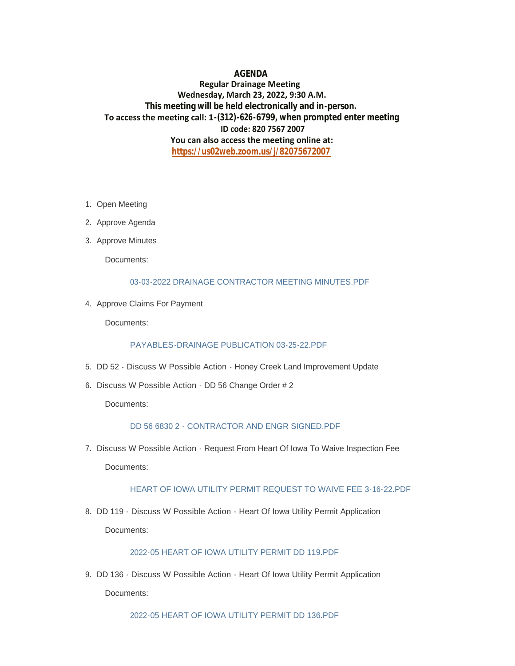## **AGENDA**

# **Regular Drainage Meeting Wednesday, March 23, 2022, 9:30 A.M. This meeting will be held electronically and in-person. To access the meeting call: 1-(312)-626-6799, when prompted enter meeting ID code: 820 7567 2007 You can also access the meeting online at: <https://us02web.zoom.us/j/82075672007>**

- 1. Open Meeting
- 2. Approve Agenda
- 3. Approve Minutes

Documents:

#### [03-03-2022 DRAINAGE CONTRACTOR MEETING MINUTES.PDF](https://www.hardincountyia.gov/AgendaCenter/ViewFile/Item/8626?fileID=7001)

4. Approve Claims For Payment

Documents:

#### [PAYABLES-DRAINAGE PUBLICATION 03-25-22.PDF](https://www.hardincountyia.gov/AgendaCenter/ViewFile/Item/8627?fileID=7002)

- 5. DD 52 Discuss W Possible Action Honey Creek Land Improvement Update
- 6. Discuss W Possible Action DD 56 Change Order # 2

Documents:

### [DD 56 6830 2 - CONTRACTOR AND ENGR SIGNED.PDF](https://www.hardincountyia.gov/AgendaCenter/ViewFile/Item/8606?fileID=7000)

7. Discuss W Possible Action - Request From Heart Of Iowa To Waive Inspection Fee

Documents:

#### [HEART OF IOWA UTILITY PERMIT REQUEST TO WAIVE FEE 3-16-22.PDF](https://www.hardincountyia.gov/AgendaCenter/ViewFile/Item/8602?fileID=6976)

8. DD 119 - Discuss W Possible Action - Heart Of Iowa Utility Permit Application Documents:

### [2022-05 HEART OF IOWA UTILITY PERMIT DD 119.PDF](https://www.hardincountyia.gov/AgendaCenter/ViewFile/Item/8605?fileID=6963)

9. DD 136 - Discuss W Possible Action - Heart Of Iowa Utility Permit Application Documents:

[2022-05 HEART OF IOWA UTILITY PERMIT DD 136.PDF](https://www.hardincountyia.gov/AgendaCenter/ViewFile/Item/8600?fileID=6957)